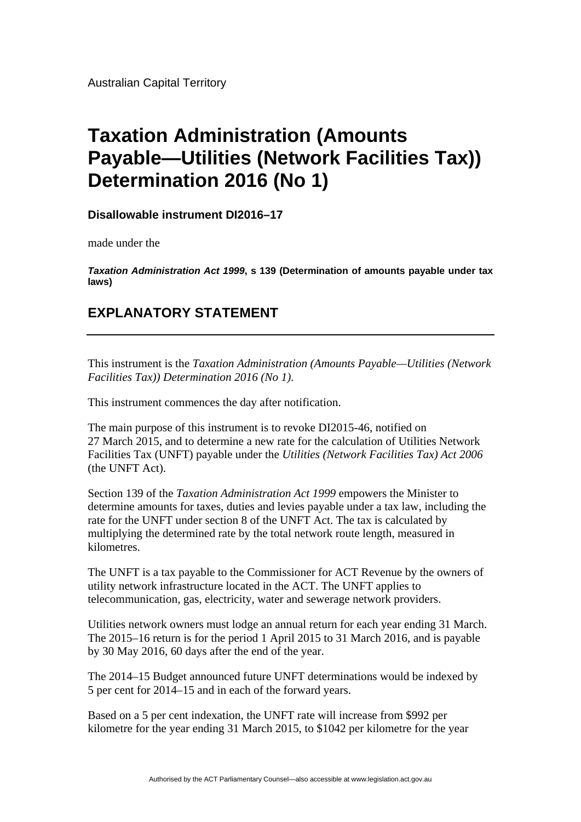Australian Capital Territory

## **Taxation Administration (Amounts Payable—Utilities (Network Facilities Tax)) Determination 2016 (No 1)**

**Disallowable instrument DI2016–17** 

made under the

*Taxation Administration Act 1999***, s 139 (Determination of amounts payable under tax laws)** 

## **EXPLANATORY STATEMENT**

This instrument is the *Taxation Administration (Amounts Payable—Utilities (Network Facilities Tax)) Determination 2016 (No 1).* 

This instrument commences the day after notification.

The main purpose of this instrument is to revoke DI2015-46, notified on 27 March 2015, and to determine a new rate for the calculation of Utilities Network Facilities Tax (UNFT) payable under the *Utilities (Network Facilities Tax) Act 2006* (the UNFT Act).

Section 139 of the *Taxation Administration Act 1999* empowers the Minister to determine amounts for taxes, duties and levies payable under a tax law, including the rate for the UNFT under section 8 of the UNFT Act. The tax is calculated by multiplying the determined rate by the total network route length, measured in kilometres.

The UNFT is a tax payable to the Commissioner for ACT Revenue by the owners of utility network infrastructure located in the ACT. The UNFT applies to telecommunication, gas, electricity, water and sewerage network providers.

Utilities network owners must lodge an annual return for each year ending 31 March. The 2015–16 return is for the period 1 April 2015 to 31 March 2016, and is payable by 30 May 2016, 60 days after the end of the year.

The 2014–15 Budget announced future UNFT determinations would be indexed by 5 per cent for 2014–15 and in each of the forward years.

Based on a 5 per cent indexation, the UNFT rate will increase from \$992 per kilometre for the year ending 31 March 2015, to \$1042 per kilometre for the year